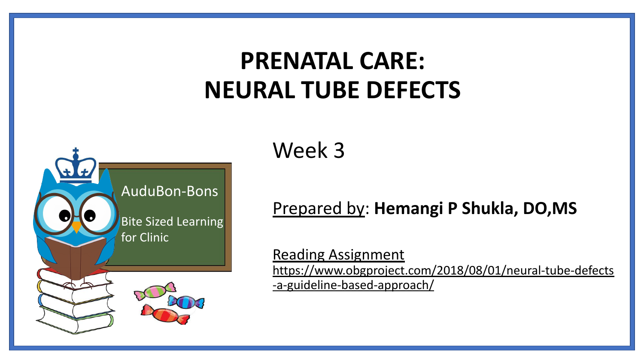# **PRENATAL CARE: NEURAL TUBE DEFECTS**



Week 3

#### Prepared by: **Hemangi P Shukla, DO,MS**

Reading Assignment [https://www.obgproject.com/2018/08/01/neural-tube-defects](https://www.obgproject.com/2018/08/01/neural-tube-defects-a-guideline-based-approach/) [-a-guideline-based-approach/](https://www.obgproject.com/2018/08/01/neural-tube-defects-a-guideline-based-approach/)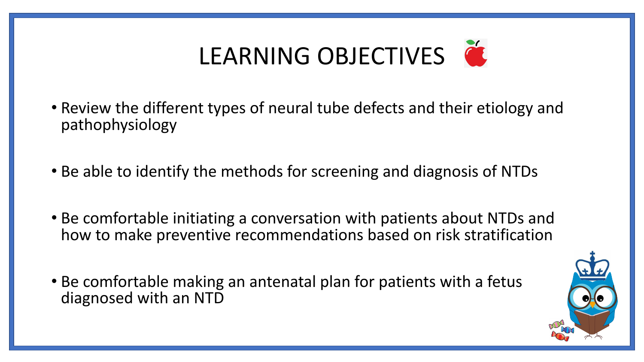# LEARNING OBJECTIVES

- Review the different types of neural tube defects and their etiology and pathophysiology
- Be able to identify the methods for screening and diagnosis of NTDs
- Be comfortable initiating a conversation with patients about NTDs and how to make preventive recommendations based on risk stratification
- Be comfortable making an antenatal plan for patients with a fetus diagnosed with an NTD

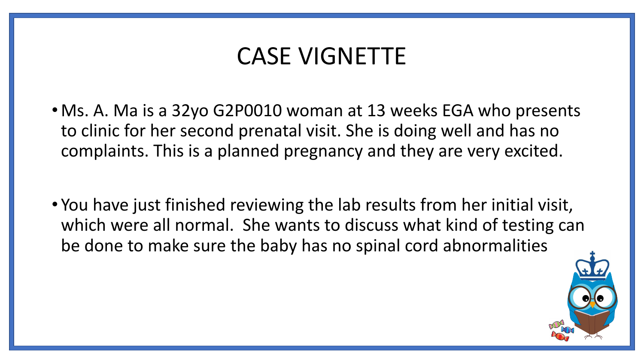## CASE VIGNETTE

- Ms. A. Ma is a 32yo G2P0010 woman at 13 weeks EGA who presents to clinic for her second prenatal visit. She is doing well and has no complaints. This is a planned pregnancy and they are very excited.
- You have just finished reviewing the lab results from her initial visit, which were all normal. She wants to discuss what kind of testing can be done to make sure the baby has no spinal cord abnormalities

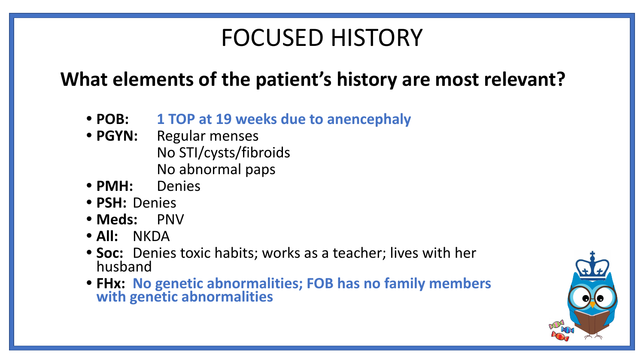## FOCUSED HISTORY

### **What elements of the patient's history are most relevant?**

- **• POB: 1 TOP at 19 weeks due to anencephaly**
- **• PGYN:** Regular menses No STI/cysts/fibroids No abnormal paps
- **• PMH:** Denies
- **• PSH:** Denies
- **• Meds:** PNV
- **• All:** NKDA
- **• Soc:** Denies toxic habits; works as a teacher; lives with her husband
- **• FHx: No genetic abnormalities; FOB has no family members with genetic abnormalities**

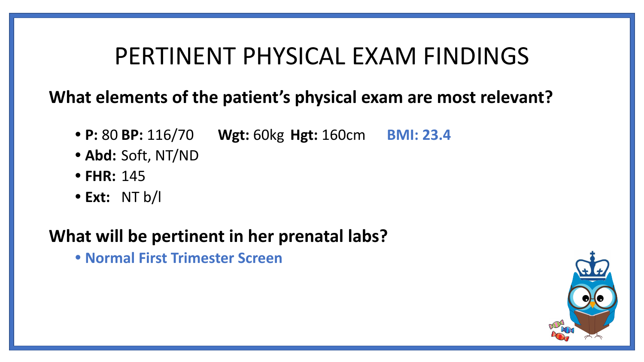## PERTINENT PHYSICAL EXAM FINDINGS

### **What elements of the patient's physical exam are most relevant?**

- **• P:** 80 **BP:** 116/70 **Wgt:** 60kg **Hgt:** 160cm **BMI: 23.4**
- **• Abd:** Soft, NT/ND
- **• FHR:** 145
- **• Ext:** NT b/l

#### **What will be pertinent in her prenatal labs?**

**• Normal First Trimester Screen**

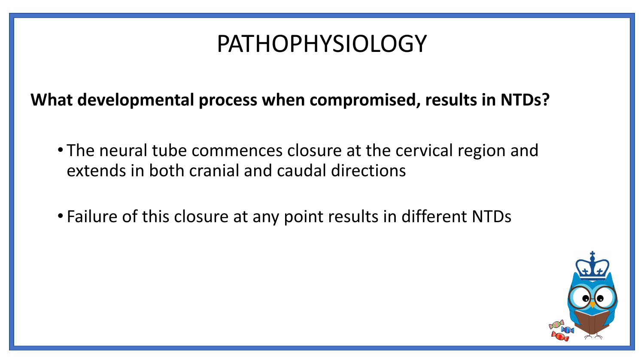## PATHOPHYSIOLOGY

**What developmental process when compromised, results in NTDs?**

- The neural tube commences closure at the cervical region and extends in both cranial and caudal directions
- Failure of this closure at any point results in different NTDs

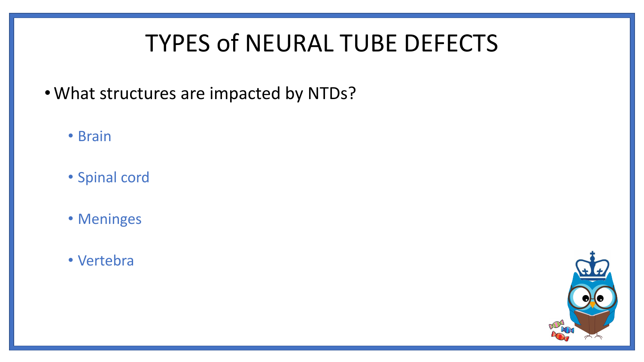# TYPES of NEURAL TUBE DEFECTS

- •What structures are impacted by NTDs?
	- Brain
	- Spinal cord
	- Meninges
	- Vertebra

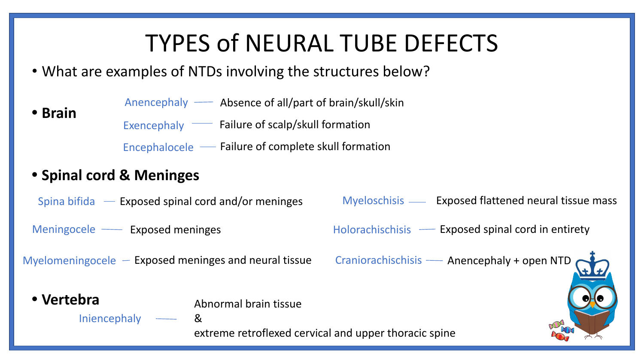# TYPES of NEURAL TUBE DEFECTS

• What are examples of NTDs involving the structures below?

**• Brain** Anencephaly Absence of all/part of brain/skull/skin Encephalocele Failure of complete skull formation Exencephaly **- Failure of scalp/skull formation** 

#### **• Spinal cord & Meninges**

Spina bifida  $\overline{\phantom{a}}$  Exposed spinal cord and/or meninges

Meningocele Exposed meninges

Myelomeningocele Exposed meninges and neural tissue Craniorachischisis

&

#### **• Vertebra**

Abnormal brain tissue

Iniencephaly

extreme retroflexed cervical and upper thoracic spine



Holorachischisis Exposed spinal cord in entirety

Craniorachischisis - Anencephaly + open NTD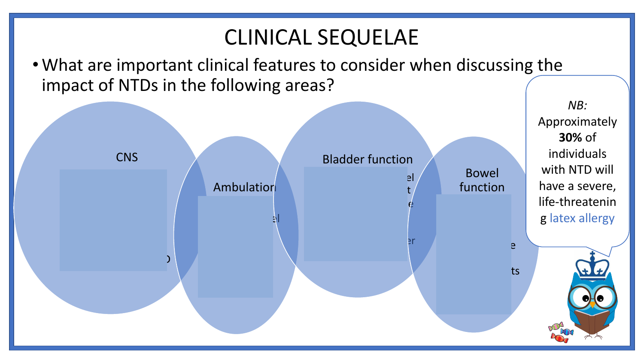## CLINICAL SEQUELAE

•What are important clinical features to consider when discussing the impact of NTDs in the following areas?

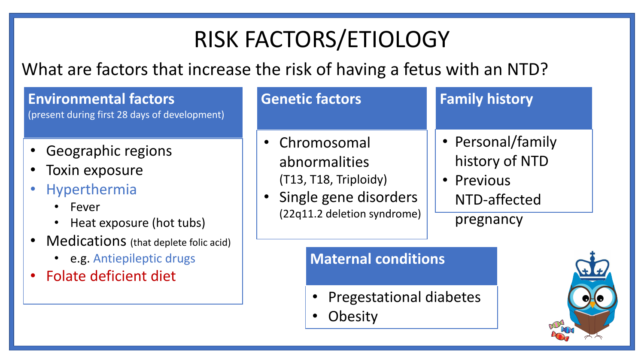# RISK FACTORS/ETIOLOGY

What are factors that increase the risk of having a fetus with an NTD?

#### **Environmental factors**

(present during first 28 days of development)

- Geographic regions
- Toxin exposure
- Hyperthermia
	- Fever
	- Heat exposure (hot tubs)
- Medications (that deplete folic acid
	- e.g. Antiepileptic drugs
- Folate deficient diet

|    | <b>Genetic factors</b>                                                                                            | <b>Family history</b>                                                          |
|----|-------------------------------------------------------------------------------------------------------------------|--------------------------------------------------------------------------------|
|    | • Chromosomal<br>abnormalities<br>(T13, T18, Triploidy)<br>• Single gene disorders<br>(22q11.2 deletion syndrome) | • Personal/family<br>history of NTD<br>• Previous<br>NTD-affected<br>pregnancy |
| d) | <b>Maternal conditions</b>                                                                                        |                                                                                |
|    | <b>Pregestational diabetes</b>                                                                                    |                                                                                |

**Obesity** 

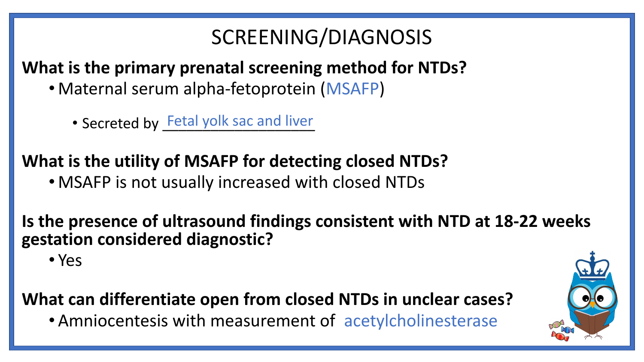## SCREENING/DIAGNOSIS

**What is the primary prenatal screening method for NTDs?**

- Maternal serum alpha-fetoprotein (MSAFP)
	- Secreted by Fetal yolk sac and liver

**What is the utility of MSAFP for detecting closed NTDs?** • MSAFP is not usually increased with closed NTDs

**Is the presence of ultrasound findings consistent with NTD at 18-22 weeks gestation considered diagnostic?**

• Yes

**What can differentiate open from closed NTDs in unclear cases?**

• Amniocentesis with measurement of acetylcholinesterase

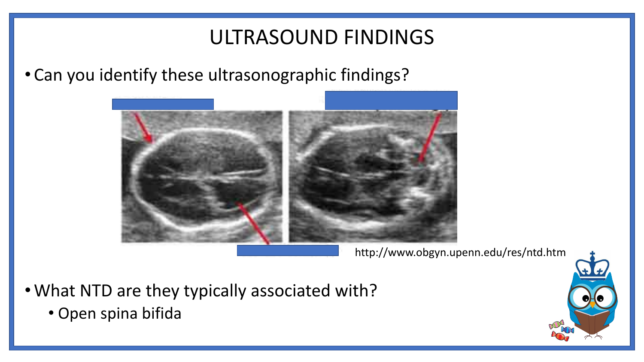## ULTRASOUND FINDINGS

• Can you identify these ultrasonographic findings?



http://www.obgyn.upenn.edu/res/ntd.htm

- •What NTD are they typically associated with?
	- Open spina bifida

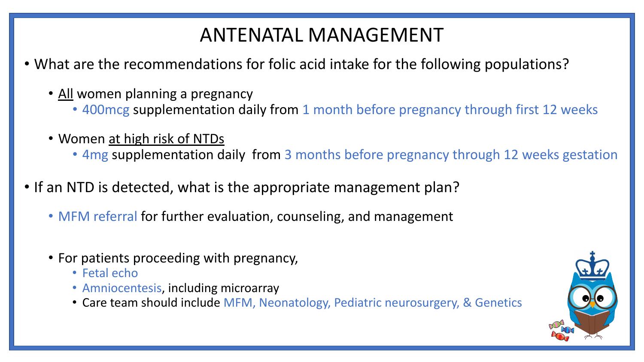### ANTENATAL MANAGEMENT

- What are the recommendations for folic acid intake for the following populations?
	- All women planning a pregnancy
		- 400 mcg supplementation daily from 1 month before pregnancy through first 12 weeks
	- Women at high risk of NTDs
		- 4mg supplementation daily from 3 months before pregnancy through 12 weeks gestation
- If an NTD is detected, what is the appropriate management plan?
	- MFM referral for further evaluation, counseling, and management
	- For patients proceeding with pregnancy,
		- Fetal echo
		- Amniocentesis, including microarray
		- Care team should include MFM, Neonatology, Pediatric neurosurgery, & Genetics

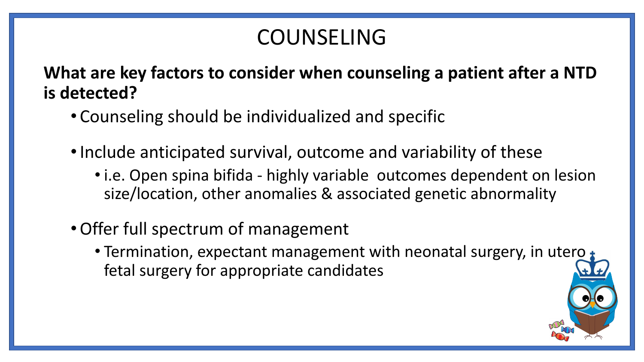## COUNSELING

**What are key factors to consider when counseling a patient after a NTD is detected?**

- Counseling should be individualized and specific
- Include anticipated survival, outcome and variability of these
	- i.e. Open spina bifida highly variable outcomes dependent on lesion size/location, other anomalies & associated genetic abnormality
- •Offer full spectrum of management
	- Termination, expectant management with neonatal surgery, in utero fetal surgery for appropriate candidates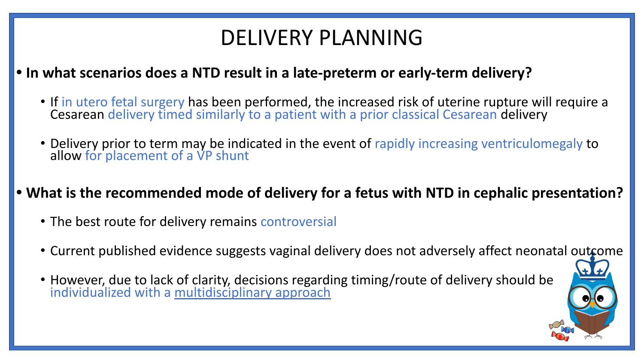## DELIVERY PLANNING

#### **• In what scenarios does a NTD result in a late-preterm or early-term delivery?**

- If in utero fetal surgery has been performed, the increased risk of uterine rupture will require a Cesarean delivery timed similarly to a patient with a prior classical Cesarean delivery
- Delivery prior to term may be indicated in the event of rapidly increasing ventriculomegaly to allow for placement of a VP shunt

#### **• What is the recommended mode of delivery for a fetus with NTD in cephalic presentation?**

- The best route for delivery remains controversial
- Current published evidence suggests vaginal delivery does not adversely affect neonatal outcome
- However, due to lack of clarity, decisions regarding timing/route of delivery should be individualized with a multidisciplinary approach

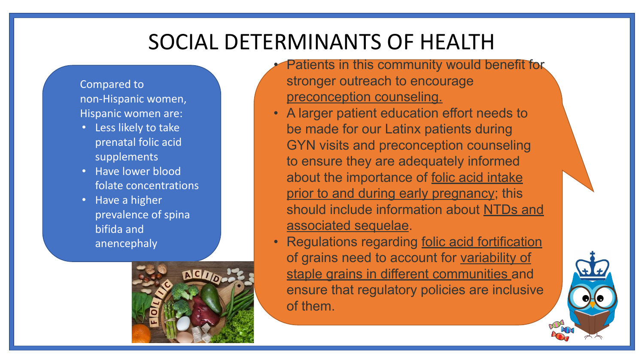### SOCIAL DETERMINANTS OF HEALTH

Compared to non-Hispanic women, Hispanic women are:

- Less likely to take prenatal folic acid supplements
- Have lower blood folate concentrations
- Have a higher prevalence of spina bifida and anencephaly



- Patients in this community would benefit for stronger outreach to encourage preconception counseling.
- A larger patient education effort needs to be made for our Latinx patients during GYN visits and preconception counseling to ensure they are adequately informed about the importance of folic acid intake prior to and during early pregnancy; this should include information about NTDs and associated sequelae.
- Regulations regarding folic acid fortification of grains need to account for variability of staple grains in different communities and ensure that regulatory policies are inclusive of them.

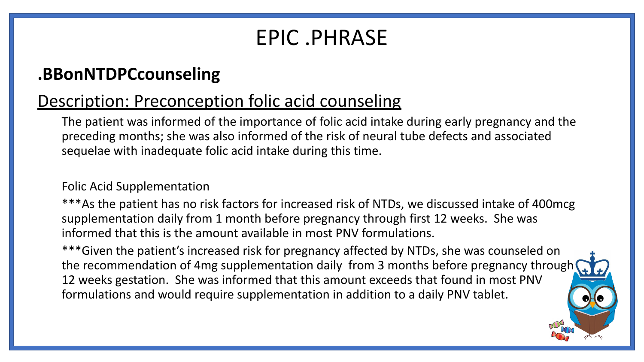## EPIC .PHRASE

### **.BBonNTDPCcounseling**

### Description: Preconception folic acid counseling

The patient was informed of the importance of folic acid intake during early pregnancy and the preceding months; she was also informed of the risk of neural tube defects and associated sequelae with inadequate folic acid intake during this time.

#### Folic Acid Supplementation

\*\*\*As the patient has no risk factors for increased risk of NTDs, we discussed intake of 400mcg supplementation daily from 1 month before pregnancy through first 12 weeks. She was informed that this is the amount available in most PNV formulations.

\*\*\*Given the patient's increased risk for pregnancy affected by NTDs, she was counseled on the recommendation of 4mg supplementation daily from 3 months before pregnancy through 12 weeks gestation. She was informed that this amount exceeds that found in most PNV formulations and would require supplementation in addition to a daily PNV tablet.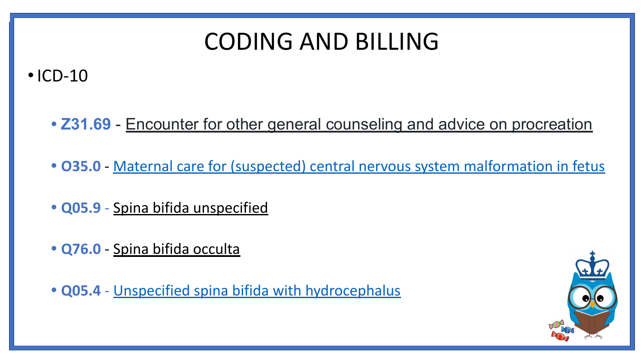# CODING AND BILLING

 $\cdot$ ICD-10

#### **• Z31.69** - Encounter for other general counseling and advice on procreation

- **• O35.0** [Maternal care for \(suspected\) central nervous system malformation in fetus](https://www.findacode.com/code-set.php?set=ICD10CM&i=24459)
- **• Q05.9** Spina bifida unspecified
- **• Q76.0** Spina bifida occulta
- **• Q05.4**  [Unspecified spina bifida with hydrocephalus](https://www.findacode.com/code.php?set=ICD10CM&c=Q05.4)